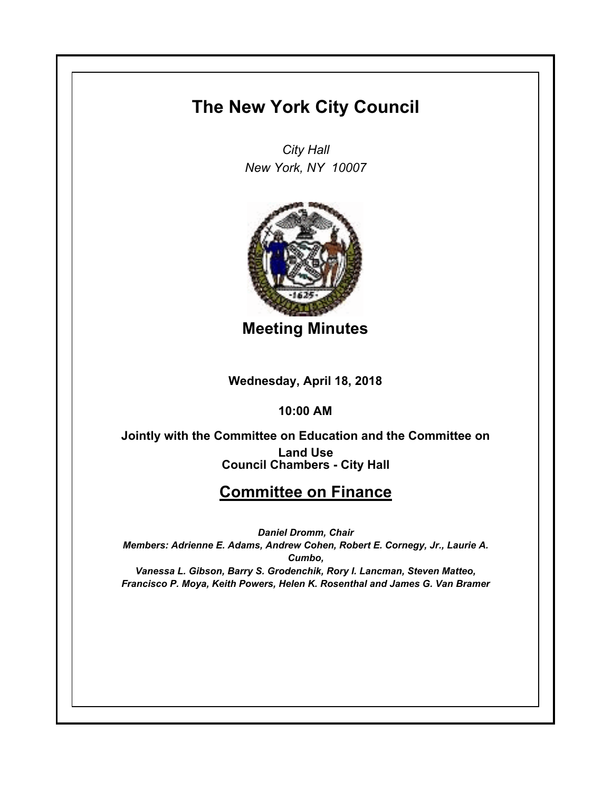## **The New York City Council**

*City Hall New York, NY 10007*



**Meeting Minutes**

**Wednesday, April 18, 2018**

**10:00 AM**

**Council Chambers - City Hall Jointly with the Committee on Education and the Committee on Land Use**

## **Committee on Finance**

*Daniel Dromm, Chair Members: Adrienne E. Adams, Andrew Cohen, Robert E. Cornegy, Jr., Laurie A. Cumbo, Vanessa L. Gibson, Barry S. Grodenchik, Rory I. Lancman, Steven Matteo, Francisco P. Moya, Keith Powers, Helen K. Rosenthal and James G. Van Bramer*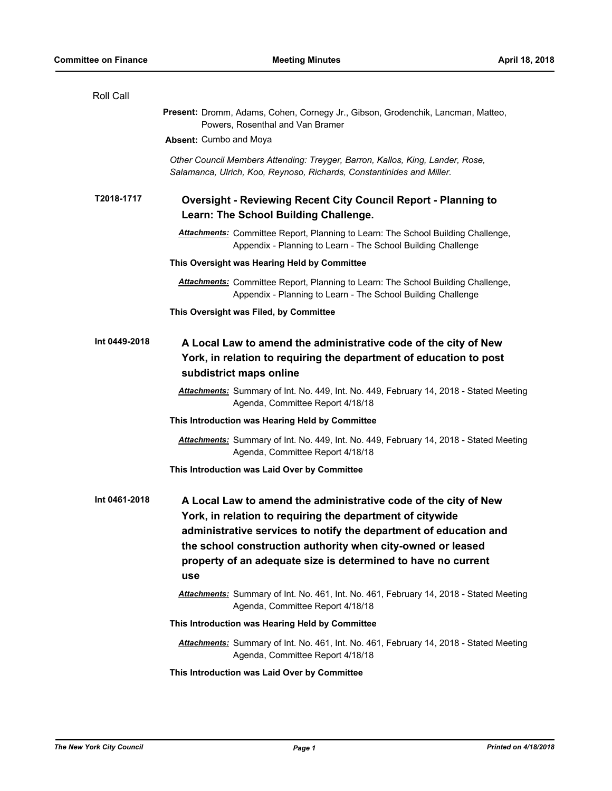| Roll Call     |                                                                                                                                                                                                                                                                                                                                          |
|---------------|------------------------------------------------------------------------------------------------------------------------------------------------------------------------------------------------------------------------------------------------------------------------------------------------------------------------------------------|
|               | Present: Dromm, Adams, Cohen, Cornegy Jr., Gibson, Grodenchik, Lancman, Matteo,<br>Powers, Rosenthal and Van Bramer                                                                                                                                                                                                                      |
|               | <b>Absent: Cumbo and Moya</b>                                                                                                                                                                                                                                                                                                            |
|               | Other Council Members Attending: Treyger, Barron, Kallos, King, Lander, Rose,<br>Salamanca, Ulrich, Koo, Reynoso, Richards, Constantinides and Miller.                                                                                                                                                                                   |
| T2018-1717    | <b>Oversight - Reviewing Recent City Council Report - Planning to</b><br>Learn: The School Building Challenge.                                                                                                                                                                                                                           |
|               | <b>Attachments:</b> Committee Report, Planning to Learn: The School Building Challenge,<br>Appendix - Planning to Learn - The School Building Challenge                                                                                                                                                                                  |
|               | This Oversight was Hearing Held by Committee                                                                                                                                                                                                                                                                                             |
|               | Attachments: Committee Report, Planning to Learn: The School Building Challenge,<br>Appendix - Planning to Learn - The School Building Challenge                                                                                                                                                                                         |
|               | This Oversight was Filed, by Committee                                                                                                                                                                                                                                                                                                   |
| Int 0449-2018 | A Local Law to amend the administrative code of the city of New<br>York, in relation to requiring the department of education to post<br>subdistrict maps online                                                                                                                                                                         |
|               | Attachments: Summary of Int. No. 449, Int. No. 449, February 14, 2018 - Stated Meeting<br>Agenda, Committee Report 4/18/18                                                                                                                                                                                                               |
|               | This Introduction was Hearing Held by Committee                                                                                                                                                                                                                                                                                          |
|               | Attachments: Summary of Int. No. 449, Int. No. 449, February 14, 2018 - Stated Meeting<br>Agenda, Committee Report 4/18/18                                                                                                                                                                                                               |
|               | This Introduction was Laid Over by Committee                                                                                                                                                                                                                                                                                             |
| Int 0461-2018 | A Local Law to amend the administrative code of the city of New<br>York, in relation to requiring the department of citywide<br>administrative services to notify the department of education and<br>the school construction authority when city-owned or leased<br>property of an adequate size is determined to have no current<br>use |
|               | Attachments: Summary of Int. No. 461, Int. No. 461, February 14, 2018 - Stated Meeting<br>Agenda, Committee Report 4/18/18                                                                                                                                                                                                               |
|               | This Introduction was Hearing Held by Committee                                                                                                                                                                                                                                                                                          |
|               | Attachments: Summary of Int. No. 461, Int. No. 461, February 14, 2018 - Stated Meeting<br>Agenda, Committee Report 4/18/18                                                                                                                                                                                                               |
|               | This Introduction was Laid Over by Committee                                                                                                                                                                                                                                                                                             |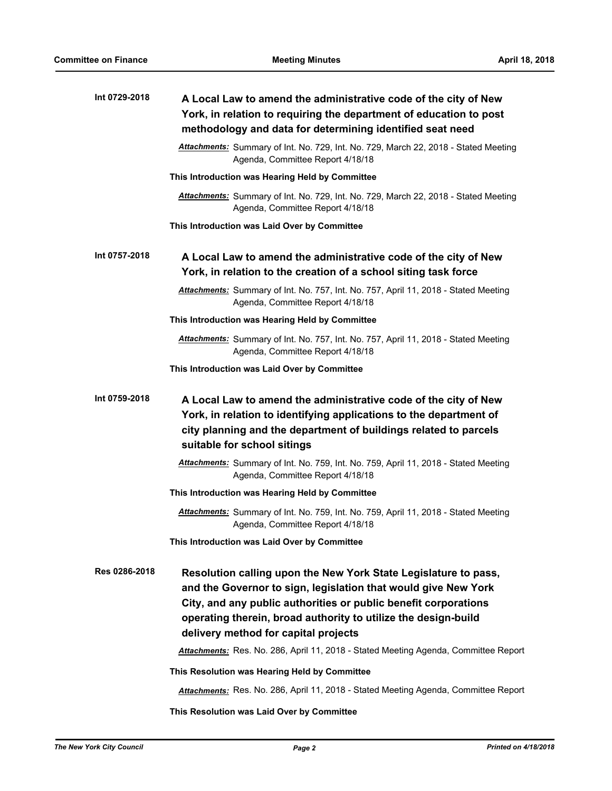| Int 0729-2018 | A Local Law to amend the administrative code of the city of New<br>York, in relation to requiring the department of education to post<br>methodology and data for determining identified seat need                                                                                                             |
|---------------|----------------------------------------------------------------------------------------------------------------------------------------------------------------------------------------------------------------------------------------------------------------------------------------------------------------|
|               | Attachments: Summary of Int. No. 729, Int. No. 729, March 22, 2018 - Stated Meeting<br>Agenda, Committee Report 4/18/18                                                                                                                                                                                        |
|               | This Introduction was Hearing Held by Committee                                                                                                                                                                                                                                                                |
|               | Attachments: Summary of Int. No. 729, Int. No. 729, March 22, 2018 - Stated Meeting<br>Agenda, Committee Report 4/18/18                                                                                                                                                                                        |
|               | This Introduction was Laid Over by Committee                                                                                                                                                                                                                                                                   |
| Int 0757-2018 | A Local Law to amend the administrative code of the city of New<br>York, in relation to the creation of a school siting task force                                                                                                                                                                             |
|               | Attachments: Summary of Int. No. 757, Int. No. 757, April 11, 2018 - Stated Meeting<br>Agenda, Committee Report 4/18/18                                                                                                                                                                                        |
|               | This Introduction was Hearing Held by Committee                                                                                                                                                                                                                                                                |
|               | Attachments: Summary of Int. No. 757, Int. No. 757, April 11, 2018 - Stated Meeting<br>Agenda, Committee Report 4/18/18                                                                                                                                                                                        |
|               | This Introduction was Laid Over by Committee                                                                                                                                                                                                                                                                   |
| Int 0759-2018 | A Local Law to amend the administrative code of the city of New<br>York, in relation to identifying applications to the department of<br>city planning and the department of buildings related to parcels<br>suitable for school sitings                                                                       |
|               | Attachments: Summary of Int. No. 759, Int. No. 759, April 11, 2018 - Stated Meeting<br>Agenda, Committee Report 4/18/18                                                                                                                                                                                        |
|               | This Introduction was Hearing Held by Committee                                                                                                                                                                                                                                                                |
|               | Attachments: Summary of Int. No. 759, Int. No. 759, April 11, 2018 - Stated Meeting<br>Agenda, Committee Report 4/18/18                                                                                                                                                                                        |
|               | This Introduction was Laid Over by Committee                                                                                                                                                                                                                                                                   |
| Res 0286-2018 | Resolution calling upon the New York State Legislature to pass,<br>and the Governor to sign, legislation that would give New York<br>City, and any public authorities or public benefit corporations<br>operating therein, broad authority to utilize the design-build<br>delivery method for capital projects |
|               | Attachments: Res. No. 286, April 11, 2018 - Stated Meeting Agenda, Committee Report                                                                                                                                                                                                                            |
|               | This Resolution was Hearing Held by Committee                                                                                                                                                                                                                                                                  |
|               | Attachments: Res. No. 286, April 11, 2018 - Stated Meeting Agenda, Committee Report                                                                                                                                                                                                                            |

**This Resolution was Laid Over by Committee**